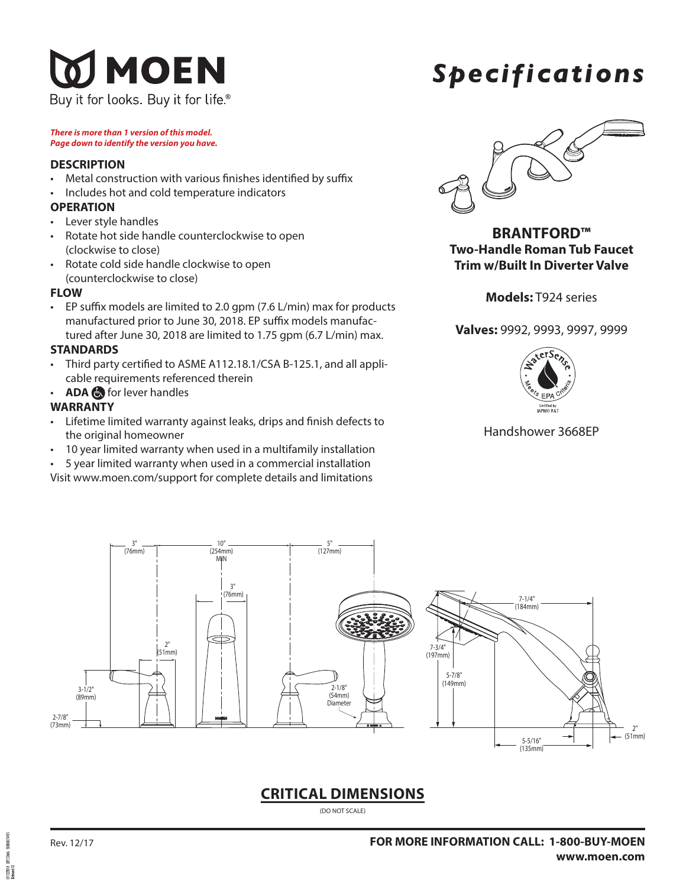## MOEN Buy it for looks. Buy it for life<sup>®</sup>

# *Specifications*

*There is more than 1 version of this model. Page down to identify the version you have.*

### **DESCRIPTION**

- Metal construction with various finishes identified by suffix
- Includes hot and cold temperature indicators

## **OPERATION**

- Lever style handles
- Rotate hot side handle counterclockwise to open (clockwise to close)
- Rotate cold side handle clockwise to open (counterclockwise to close)

### **FLOW**

• EP suffix models are limited to 2.0 gpm (7.6 L/min) max for products manufactured prior to June 30, 2018. EP suffix models manufactured after June 30, 2018 are limited to 1.75 gpm (6.7 L/min) max.

## **STANDARDS**

- Third party certified to ASME A112.18.1/CSA B-125.1, and all applicable requirements referenced therein
- **ADA** for lever handles

## **WARRANTY**

- Lifetime limited warranty against leaks, drips and finish defects to the original homeowner
- 10 year limited warranty when used in a multifamily installation
- 5 year limited warranty when used in a commercial installation

Visit www.moen.com/support for complete details and limitations



**BRANTFORD™ Two-Handle Roman Tub Faucet Trim w/Built In Diverter Valve**

**Models:** T924 series

**Valves:** 9992, 9993, 9997, 9999



## Handshower 3668EP



## **CRITICAL DIMENSIONS**

(DO NOT SCALE)

**PCIDAR** 171122018<br>Referand 02